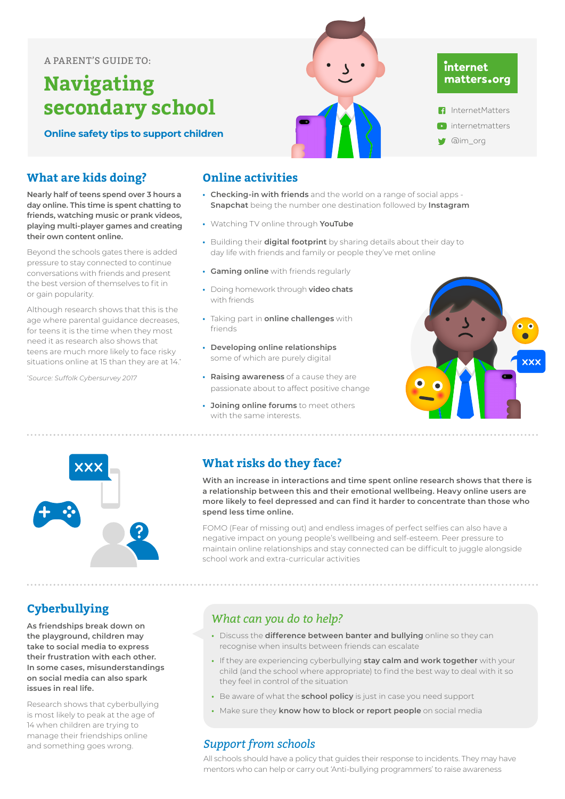#### A PARENT'S GUIDE TO:

# **Navigating secondary school**

**Online safety tips to support children**

#### **What are kids doing?**

**Nearly half of teens spend over 3 hours a day online. This time is spent chatting to friends, watching music or prank videos, playing multi-player games and creating their own content online.**

Beyond the schools gates there is added pressure to stay connected to continue conversations with friends and present the best version of themselves to fit in or gain popularity.

Although research shows that this is the age where parental guidance decreases. for teens it is the time when they most need it as research also shows that teens are much more likely to face risky situations online at 15 than they are at 14.\*

*\* Source: Suffolk Cybersurvey 2017*

## **Cyberbullying**

**As friendships break down on the playground, children may take to social media to express their frustration with each other. In some cases, misunderstandings on social media can also spark issues in real life.**

Research shows that cyberbullying is most likely to peak at the age of 14 when children are trying to manage their friendships online and something goes wrong.

#### **Online activities** Although children may be talking about it frequently research shows that that over time

**• Checking-in with friends** and the world on a range of social apps -**Snapchat** being the number one destination followed by **Instagram** 

**Exploring sexuality has always been a part of a child's development so internetmatters** 

**have age appropriate discussions about healthy sex and relationships so they have the** 

Children take part in sexting for a range of reasons, to fit in, as a joke, to express feelings in

- **•** Watching TV online through **YouTube**
- **•** Building their **digital footprint** by sharing details about their day to day life with friends and family or people they've met online
- **Gaming online** with friends regularly
- **•** Doing homework through **video chats** *to help?* with friends **• Discuss the risks of sexting** and
- **•** Taking part in **online challenges** with friends situation if it does not in the interesting that it
- **• Developing online relationships** some of which are purely digital ) online relationships **•** Make sure they can **come to you**
- **Raising awareness** of a cause they are passionate about to affect positive change
- **Joining online forums** to meet others with the same interests. **ine forums** to meet others



InternetMatters

@im\_org

internet matters.org

#### **What risks do they face?**

**With an increase in interactions and time spent online research shows that there is**  *Support from schools* a relationship between this and their emotional wellbeing. Heavy online users are more likely to feel depressed and can find it harder to concentrate than those who **images between personal bullying.** The government has recently and bully and bully and bully and bully and bully a

FOMO (Fear of missing out) and endless images of perfect selfies can also have a negative impact on young people's wellbeing and self-esteem. Peer pressure to helps should deal with incidents maintain online relationships and stay connected can be difficult to juggle alongside<br>maintain online relationships and stay connected can be difficult to juggle alongside school work and extra-curricular activities ionime relationships and stay connected can be dirittuit to juggle alongside

#### *What can you do to help?*

- **•** Discuss the **difference between banter and bullying** online so they can recognise when insults between friends can escalate
- **•** If they are experiencing cyberbullying **stay calm and work together** with your child (and the school where appropriate) to find the best way to deal with it so they feel in control of the situation
- **•** Be aware of what the **school policy** is just in case you need support
- **•** Make sure they **know how to block or report people** on social media

#### *Support from schools*

All schools should have a policy that guides their response to incidents. They may have mentors who can help or carry out 'Anti-bullying programmers' to raise awareness